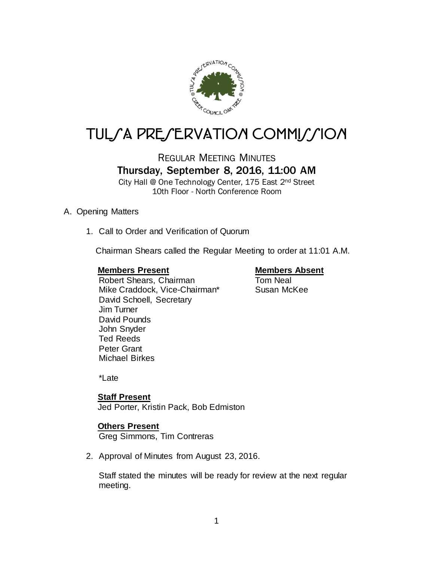

# TULSA PRESERVATION COMMISSION

REGULAR MEETING MINUTES Thursday, September 8, 2016, 11:00 AM

City Hall @ One Technology Center, 175 East 2nd Street 10th Floor - North Conference Room

## A. Opening Matters

1. Call to Order and Verification of Quorum

Chairman Shears called the Regular Meeting to order at 11:01 A.M.

## **Members Present Members Absent**

Robert Shears, Chairman Tom Neal<br>
Mike Craddock, Vice-Chairman\* Susan McKee Mike Craddock, Vice-Chairman\* David Schoell, Secretary

\*Late

Jim Turner David Pounds John Snyder Ted Reeds Peter Grant Michael Birkes

## **Staff Present**

Jed Porter, Kristin Pack, Bob Edmiston

# **Others Present**

Greg Simmons, Tim Contreras

2. Approval of Minutes from August 23, 2016.

Staff stated the minutes will be ready for review at the next regular meeting.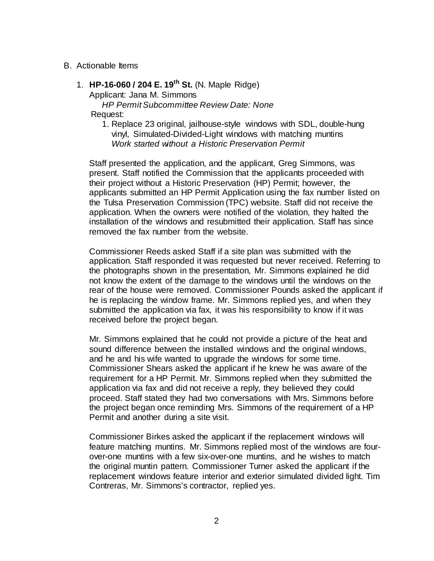- B. Actionable Items
	- 1. **HP-16-060 / 204 E. 19th St.** (N. Maple Ridge)

Applicant: Jana M. Simmons

 *HP Permit Subcommittee Review Date: None* Request:

1. Replace 23 original, jailhouse-style windows with SDL, double-hung vinyl, Simulated-Divided-Light windows with matching muntins *Work started without a Historic Preservation Permit*

Staff presented the application, and the applicant, Greg Simmons, was present. Staff notified the Commission that the applicants proceeded with their project without a Historic Preservation (HP) Permit; however, the applicants submitted an HP Permit Application using the fax number listed on the Tulsa Preservation Commission (TPC) website. Staff did not receive the application. When the owners were notified of the violation, they halted the installation of the windows and resubmitted their application. Staff has since removed the fax number from the website.

Commissioner Reeds asked Staff if a site plan was submitted with the application. Staff responded it was requested but never received. Referring to the photographs shown in the presentation, Mr. Simmons explained he did not know the extent of the damage to the windows until the windows on the rear of the house were removed. Commissioner Pounds asked the applicant if he is replacing the window frame. Mr. Simmons replied yes, and when they submitted the application via fax, it was his responsibility to know if it was received before the project began.

Mr. Simmons explained that he could not provide a picture of the heat and sound difference between the installed windows and the original windows, and he and his wife wanted to upgrade the windows for some time. Commissioner Shears asked the applicant if he knew he was aware of the requirement for a HP Permit. Mr. Simmons replied when they submitted the application via fax and did not receive a reply, they believed they could proceed. Staff stated they had two conversations with Mrs. Simmons before the project began once reminding Mrs. Simmons of the requirement of a HP Permit and another during a site visit.

Commissioner Birkes asked the applicant if the replacement windows will feature matching muntins. Mr. Simmons replied most of the windows are fourover-one muntins with a few six-over-one muntins, and he wishes to match the original muntin pattern. Commissioner Turner asked the applicant if the replacement windows feature interior and exterior simulated divided light. Tim Contreras, Mr. Simmons's contractor, replied yes.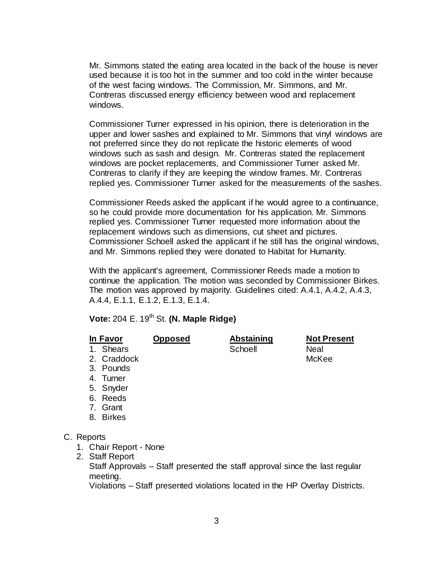Mr. Simmons stated the eating area located in the back of the house is never used because it is too hot in the summer and too cold in the winter because of the west facing windows. The Commission, Mr. Simmons, and Mr. Contreras discussed energy efficiency between wood and replacement windows.

Commissioner Turner expressed in his opinion, there is deterioration in the upper and lower sashes and explained to Mr. Simmons that vinyl windows are not preferred since they do not replicate the historic elements of wood windows such as sash and design. Mr. Contreras stated the replacement windows are pocket replacements, and Commissioner Turner asked Mr. Contreras to clarify if they are keeping the window frames. Mr. Contreras replied yes. Commissioner Turner asked for the measurements of the sashes.

Commissioner Reeds asked the applicant if he would agree to a continuance, so he could provide more documentation for his application. Mr. Simmons replied yes. Commissioner Turner requested more information about the replacement windows such as dimensions, cut sheet and pictures. Commissioner Schoell asked the applicant if he still has the original windows, and Mr. Simmons replied they were donated to Habitat for Humanity.

With the applicant's agreement, Commissioner Reeds made a motion to continue the application. The motion was seconded by Commissioner Birkes. The motion was approved by majority. Guidelines cited: A.4.1, A.4.2, A.4.3, A.4.4, E.1.1, E.1.2, E.1.3, E.1.4.

# **Vote:** 204 E. 19th St. **(N. Maple Ridge)**

# **In Favor Opposed Abstaining Not Present**

# 1. Shears Schoell Neal

- 2. Craddock McKee
- 3. Pounds
- 4. Turner
- 5. Snyder
- 6. Reeds
- 7. Grant
- 8. Birkes

## C. Reports

- 1. Chair Report None
- 2. Staff Report

Staff Approvals – Staff presented the staff approval since the last regular meeting.

Violations – Staff presented violations located in the HP Overlay Districts.